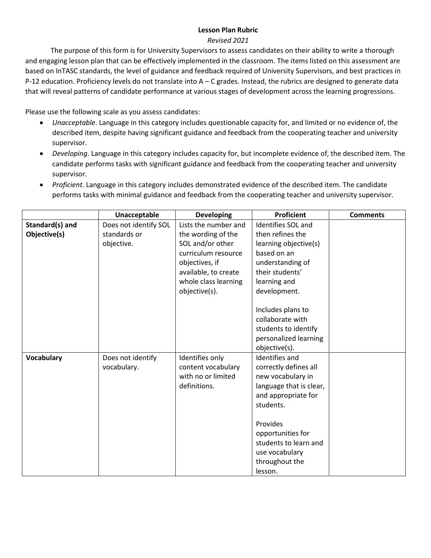## **Lesson Plan Rubric**

## *Revised 2021*

The purpose of this form is for University Supervisors to assess candidates on their ability to write a thorough and engaging lesson plan that can be effectively implemented in the classroom. The items listed on this assessment are based on InTASC standards, the level of guidance and feedback required of University Supervisors, and best practices in P-12 education. Proficiency levels do not translate into A – C grades. Instead, the rubrics are designed to generate data that will reveal patterns of candidate performance at various stages of development across the learning progressions.

Please use the following scale as you assess candidates:

- *Unacceptable*. Language in this category includes questionable capacity for, and limited or no evidence of, the described item, despite having significant guidance and feedback from the cooperating teacher and university supervisor.
- *Developing*. Language in this category includes capacity for, but incomplete evidence of, the described item. The candidate performs tasks with significant guidance and feedback from the cooperating teacher and university supervisor.
- *Proficient*. Language in this category includes demonstrated evidence of the described item. The candidate performs tasks with minimal guidance and feedback from the cooperating teacher and university supervisor.

|                   | Unacceptable          | <b>Developing</b>    | <b>Proficient</b>         | <b>Comments</b> |
|-------------------|-----------------------|----------------------|---------------------------|-----------------|
| Standard(s) and   | Does not identify SOL | Lists the number and | <b>Identifies SOL and</b> |                 |
| Objective(s)      | standards or          | the wording of the   | then refines the          |                 |
|                   | objective.            | SOL and/or other     | learning objective(s)     |                 |
|                   |                       | curriculum resource  | based on an               |                 |
|                   |                       | objectives, if       | understanding of          |                 |
|                   |                       | available, to create | their students'           |                 |
|                   |                       | whole class learning | learning and              |                 |
|                   |                       | objective(s).        | development.              |                 |
|                   |                       |                      |                           |                 |
|                   |                       |                      | Includes plans to         |                 |
|                   |                       |                      | collaborate with          |                 |
|                   |                       |                      | students to identify      |                 |
|                   |                       |                      | personalized learning     |                 |
|                   |                       |                      | objective(s).             |                 |
| <b>Vocabulary</b> | Does not identify     | Identifies only      | <b>Identifies and</b>     |                 |
|                   | vocabulary.           | content vocabulary   | correctly defines all     |                 |
|                   |                       | with no or limited   | new vocabulary in         |                 |
|                   |                       | definitions.         | language that is clear,   |                 |
|                   |                       |                      | and appropriate for       |                 |
|                   |                       |                      | students.                 |                 |
|                   |                       |                      |                           |                 |
|                   |                       |                      | Provides                  |                 |
|                   |                       |                      | opportunities for         |                 |
|                   |                       |                      | students to learn and     |                 |
|                   |                       |                      | use vocabulary            |                 |
|                   |                       |                      | throughout the            |                 |
|                   |                       |                      | lesson.                   |                 |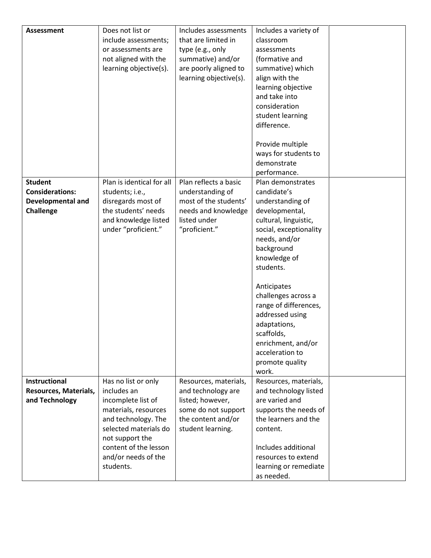| <b>Assessment</b>      | Does not list or          | Includes assessments   | Includes a variety of  |  |
|------------------------|---------------------------|------------------------|------------------------|--|
|                        | include assessments;      | that are limited in    | classroom              |  |
|                        | or assessments are        | type (e.g., only       | assessments            |  |
|                        | not aligned with the      | summative) and/or      | (formative and         |  |
|                        | learning objective(s).    | are poorly aligned to  | summative) which       |  |
|                        |                           | learning objective(s). | align with the         |  |
|                        |                           |                        | learning objective     |  |
|                        |                           |                        | and take into          |  |
|                        |                           |                        | consideration          |  |
|                        |                           |                        | student learning       |  |
|                        |                           |                        | difference.            |  |
|                        |                           |                        |                        |  |
|                        |                           |                        | Provide multiple       |  |
|                        |                           |                        | ways for students to   |  |
|                        |                           |                        | demonstrate            |  |
|                        |                           |                        | performance.           |  |
| <b>Student</b>         | Plan is identical for all | Plan reflects a basic  | Plan demonstrates      |  |
| <b>Considerations:</b> | students; i.e.,           | understanding of       | candidate's            |  |
| Developmental and      | disregards most of        | most of the students'  | understanding of       |  |
| Challenge              | the students' needs       | needs and knowledge    | developmental,         |  |
|                        | and knowledge listed      | listed under           | cultural, linguistic,  |  |
|                        |                           |                        |                        |  |
|                        | under "proficient."       | "proficient."          | social, exceptionality |  |
|                        |                           |                        | needs, and/or          |  |
|                        |                           |                        | background             |  |
|                        |                           |                        | knowledge of           |  |
|                        |                           |                        | students.              |  |
|                        |                           |                        | Anticipates            |  |
|                        |                           |                        | challenges across a    |  |
|                        |                           |                        | range of differences,  |  |
|                        |                           |                        | addressed using        |  |
|                        |                           |                        | adaptations,           |  |
|                        |                           |                        | scaffolds,             |  |
|                        |                           |                        | enrichment, and/or     |  |
|                        |                           |                        | acceleration to        |  |
|                        |                           |                        | promote quality        |  |
|                        |                           |                        | work.                  |  |
| <b>Instructional</b>   | Has no list or only       | Resources, materials,  | Resources, materials,  |  |
| Resources, Materials,  | includes an               | and technology are     | and technology listed  |  |
| and Technology         | incomplete list of        | listed; however,       | are varied and         |  |
|                        | materials, resources      | some do not support    | supports the needs of  |  |
|                        | and technology. The       | the content and/or     | the learners and the   |  |
|                        | selected materials do     | student learning.      |                        |  |
|                        |                           |                        | content.               |  |
|                        | not support the           |                        |                        |  |
|                        | content of the lesson     |                        | Includes additional    |  |
|                        | and/or needs of the       |                        | resources to extend    |  |
|                        | students.                 |                        | learning or remediate  |  |
|                        |                           |                        | as needed.             |  |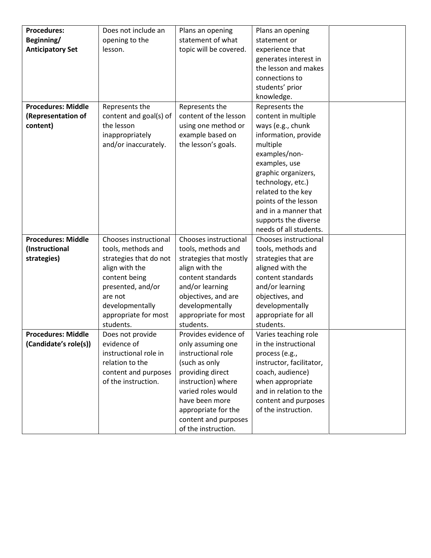| <b>Procedures:</b>        | Does not include an    | Plans an opening       | Plans an opening         |  |
|---------------------------|------------------------|------------------------|--------------------------|--|
| Beginning/                |                        | statement of what      | statement or             |  |
|                           | opening to the         |                        |                          |  |
| <b>Anticipatory Set</b>   | lesson.                | topic will be covered. | experience that          |  |
|                           |                        |                        | generates interest in    |  |
|                           |                        |                        | the lesson and makes     |  |
|                           |                        |                        | connections to           |  |
|                           |                        |                        | students' prior          |  |
|                           |                        |                        | knowledge.               |  |
| <b>Procedures: Middle</b> | Represents the         | Represents the         | Represents the           |  |
| (Representation of        | content and goal(s) of | content of the lesson  | content in multiple      |  |
| content)                  | the lesson             | using one method or    | ways (e.g., chunk        |  |
|                           | inappropriately        | example based on       | information, provide     |  |
|                           | and/or inaccurately.   | the lesson's goals.    | multiple                 |  |
|                           |                        |                        | examples/non-            |  |
|                           |                        |                        | examples, use            |  |
|                           |                        |                        | graphic organizers,      |  |
|                           |                        |                        | technology, etc.)        |  |
|                           |                        |                        | related to the key       |  |
|                           |                        |                        | points of the lesson     |  |
|                           |                        |                        | and in a manner that     |  |
|                           |                        |                        | supports the diverse     |  |
|                           |                        |                        | needs of all students.   |  |
| <b>Procedures: Middle</b> | Chooses instructional  | Chooses instructional  | Chooses instructional    |  |
| (Instructional            | tools, methods and     | tools, methods and     | tools, methods and       |  |
| strategies)               | strategies that do not | strategies that mostly | strategies that are      |  |
|                           | align with the         | align with the         | aligned with the         |  |
|                           | content being          | content standards      | content standards        |  |
|                           | presented, and/or      | and/or learning        | and/or learning          |  |
|                           | are not                | objectives, and are    | objectives, and          |  |
|                           | developmentally        | developmentally        | developmentally          |  |
|                           | appropriate for most   | appropriate for most   | appropriate for all      |  |
|                           | students.              | students.              | students.                |  |
| <b>Procedures: Middle</b> | Does not provide       | Provides evidence of   | Varies teaching role     |  |
| (Candidate's role(s))     | evidence of            | only assuming one      | in the instructional     |  |
|                           | instructional role in  | instructional role     | process (e.g.,           |  |
|                           | relation to the        | (such as only          | instructor, facilitator, |  |
|                           | content and purposes   | providing direct       | coach, audience)         |  |
|                           | of the instruction.    | instruction) where     | when appropriate         |  |
|                           |                        | varied roles would     | and in relation to the   |  |
|                           |                        | have been more         | content and purposes     |  |
|                           |                        | appropriate for the    | of the instruction.      |  |
|                           |                        | content and purposes   |                          |  |
|                           |                        |                        |                          |  |
|                           |                        | of the instruction.    |                          |  |